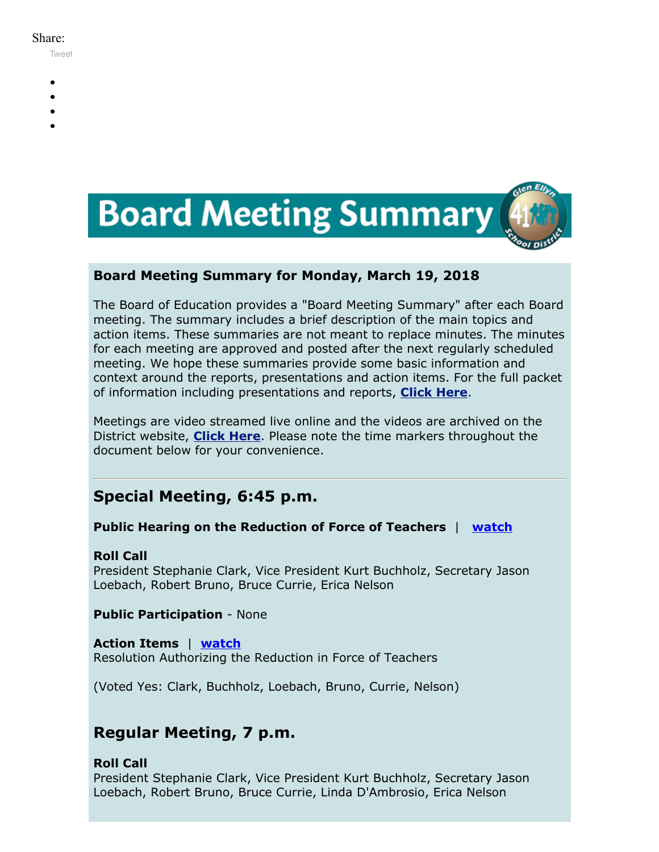#### Share:

[Tweet](https://twitter.com/intent/tweet?original_referer=https%3A%2F%2Fmyemail.constantcontact.com%2FBoard-Meeting-Summary-for-March-19--2018.html%3Fsoid%3D1102200973173%26aid%3DGfFftdzLfUE&ref_src=twsrc%5Etfw&text=Board%20Meeting%20Summary%20for%20March%2019%2C%202018&tw_p=tweetbutton&url=https%3A%2F%2Fmyemail.constantcontact.com%2FBoard-Meeting-Summary-for-March-19--2018.html%3Fsoid%3D1102200973173%26aid%3DGfFftdzLfUE)

- 
- 
- 
- 
- 



# **Board Meeting Summary for Monday, March 19, 2018**

The Board of Education provides a "Board Meeting Summary" after each Board meeting. The summary includes a brief description of the main topics and action items. These summaries are not meant to replace minutes. The minutes for each meeting are approved and posted after the next regularly scheduled meeting. We hope these summaries provide some basic information and context around the reports, presentations and action items. For the full packet of information including presentations and reports, **[Click Here](http://www.d41.org/domain/36)**.

Meetings are video streamed live online and the videos are archived on the District website, **[Click Here](http://www.d41.org/domain/463)**. Please note the time markers throughout the document below for your convenience.

# **Special Meeting, 6:45 p.m.**

# **Public Hearing on the Reduction of Force of Teachers** | **[watch](https://youtu.be/0XhpFpfrdMs)**

# **Roll Call**

President Stephanie Clark, Vice President Kurt Buchholz, Secretary Jason Loebach, Robert Bruno, Bruce Currie, Erica Nelson

**Public Participation** - None

**Action Items** | **[watch](https://youtu.be/0XhpFpfrdMs?t=1m57s)** Resolution Authorizing the Reduction in Force of Teachers

(Voted Yes: Clark, Buchholz, Loebach, Bruno, Currie, Nelson)

# **Regular Meeting, 7 p.m.**

# **Roll Call**

President Stephanie Clark, Vice President Kurt Buchholz, Secretary Jason Loebach, Robert Bruno, Bruce Currie, Linda D'Ambrosio, Erica Nelson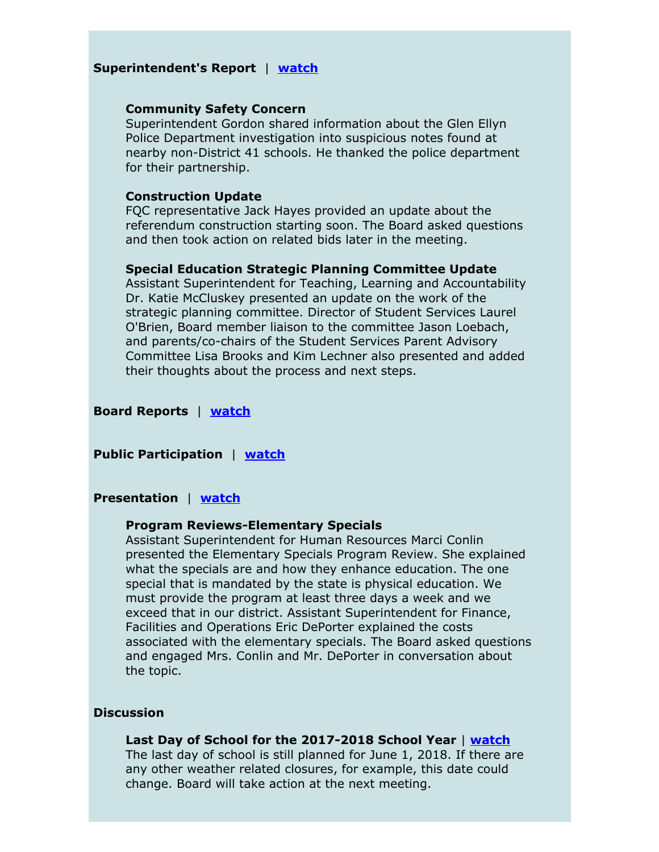#### **Superintendent's Report** | **[watch](https://youtu.be/_nJK7swqnCs?t=2m12s)**

#### **Community Safety Concern**

Superintendent Gordon shared information about the Glen Ellyn Police Department investigation into suspicious notes found at nearby non-District 41 schools. He thanked the police department for their partnership.

#### **Construction Update**

FQC representative Jack Hayes provided an update about the referendum construction starting soon. The Board asked questions and then took action on related bids later in the meeting.

#### **Special Education Strategic Planning Committee Update**

Assistant Superintendent for Teaching, Learning and Accountability Dr. Katie McCluskey presented an update on the work of the strategic planning committee. Director of Student Services Laurel O'Brien, Board member liaison to the committee Jason Loebach, and parents/co-chairs of the Student Services Parent Advisory Committee Lisa Brooks and Kim Lechner also presented and added their thoughts about the process and next steps.

#### **Board Reports** | **[watch](https://youtu.be/_nJK7swqnCs?t=52m38s)**

#### **Public Participation** | **[watch](https://youtu.be/_nJK7swqnCs?t=1h4m25s)**

#### **Presentation** | **[watch](https://youtu.be/_nJK7swqnCs?t=1h34m50s)**

#### **Program Reviews-Elementary Specials**

Assistant Superintendent for Human Resources Marci Conlin presented the Elementary Specials Program Review. She explained what the specials are and how they enhance education. The one special that is mandated by the state is physical education. We must provide the program at least three days a week and we exceed that in our district. Assistant Superintendent for Finance, Facilities and Operations Eric DePorter explained the costs associated with the elementary specials. The Board asked questions and engaged Mrs. Conlin and Mr. DePorter in conversation about the topic.

#### **Discussion**

#### **Last Day of School for the 2017-2018 School Year** | **[watch](https://youtu.be/_nJK7swqnCs?t=1h43m20s)**

The last day of school is still planned for June 1, 2018. If there are any other weather related closures, for example, this date could change. Board will take action at the next meeting.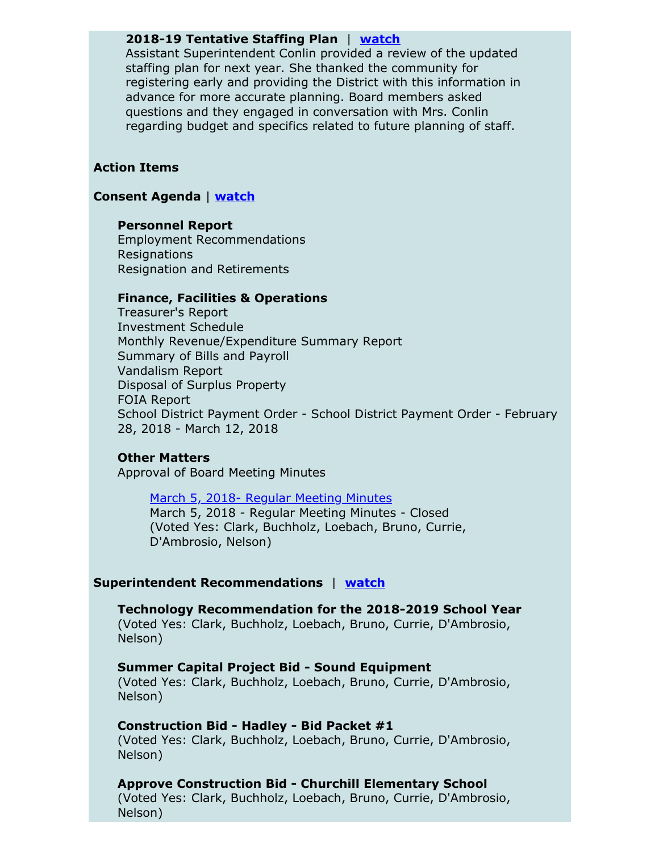#### **2018-19 Tentative Staffing Plan** | **[watch](https://youtu.be/_nJK7swqnCs?t=1h44m38s)**

Assistant Superintendent Conlin provided a review of the updated staffing plan for next year. She thanked the community for registering early and providing the District with this information in advance for more accurate planning. Board members asked questions and they engaged in conversation with Mrs. Conlin regarding budget and specifics related to future planning of staff.

#### **Action Items**

## **Consent Agenda** | **[watch](https://youtu.be/_nJK7swqnCs?t=2h6m10s)**

#### **Personnel Report**

Employment Recommendations Resignations Resignation and Retirements

#### **Finance, Facilities & Operations**

Treasurer's Report Investment Schedule Monthly Revenue/Expenditure Summary Report Summary of Bills and Payroll Vandalism Report Disposal of Surplus Property FOIA Report School District Payment Order - School District Payment Order - February 28, 2018 - March 12, 2018

#### **Other Matters**

Approval of Board Meeting Minutes

## March 5, 2018- Regular [Meeting](https://v3.boardbook.org/Public/PublicItemDownload.aspx?ik=42153061) Minutes March 5, 2018 - Regular Meeting Minutes - Closed (Voted Yes: Clark, Buchholz, Loebach, Bruno, Currie, D'Ambrosio, Nelson)

#### **Superintendent Recommendations** | **[watch](https://youtu.be/_nJK7swqnCs?t=2h7m18s)**

**Technology Recommendation for the 2018-2019 School Year** (Voted Yes: Clark, Buchholz, Loebach, Bruno, Currie, D'Ambrosio, Nelson)

**Summer Capital Project Bid - Sound Equipment** (Voted Yes: Clark, Buchholz, Loebach, Bruno, Currie, D'Ambrosio, Nelson)

#### **Construction Bid - Hadley - Bid Packet #1**

(Voted Yes: Clark, Buchholz, Loebach, Bruno, Currie, D'Ambrosio, Nelson)

#### **Approve Construction Bid - Churchill Elementary School**

(Voted Yes: Clark, Buchholz, Loebach, Bruno, Currie, D'Ambrosio, Nelson)